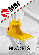